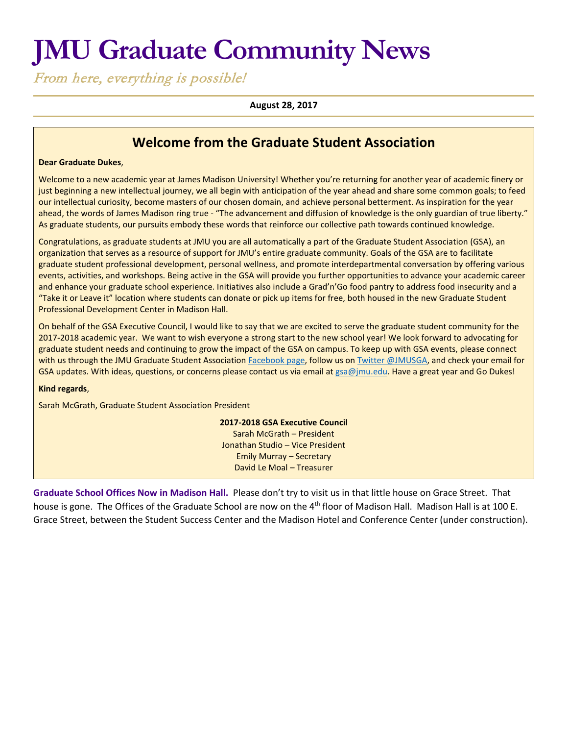# **JMU Graduate Community News**

From here, everything is possible!

#### **August 28, 2017**

## **Welcome from the Graduate Student Association**

#### **Dear Graduate Dukes**,

Welcome to a new academic year at James Madison University! Whether you're returning for another year of academic finery or just beginning a new intellectual journey, we all begin with anticipation of the year ahead and share some common goals; to feed our intellectual curiosity, become masters of our chosen domain, and achieve personal betterment. As inspiration for the year ahead, the words of James Madison ring true - "The advancement and diffusion of knowledge is the only guardian of true liberty." As graduate students, our pursuits embody these words that reinforce our collective path towards continued knowledge.

Congratulations, as graduate students at JMU you are all automatically a part of the Graduate Student Association (GSA), an organization that serves as a resource of support for JMU's entire graduate community. Goals of the GSA are to facilitate graduate student professional development, personal wellness, and promote interdepartmental conversation by offering various events, activities, and workshops. Being active in the GSA will provide you further opportunities to advance your academic career and enhance your graduate school experience. Initiatives also include a Grad'n'Go food pantry to address food insecurity and a "Take it or Leave it" location where students can donate or pick up items for free, both housed in the new Graduate Student Professional Development Center in Madison Hall.

On behalf of the GSA Executive Council, I would like to say that we are excited to serve the graduate student community for the 2017-2018 academic year. We want to wish everyone a strong start to the new school year! We look forward to advocating for graduate student needs and continuing to grow the impact of the GSA on campus. To keep up with GSA events, please connect with us through the JMU Graduate Student Association [Facebook page,](https://www.facebook.com/JMUGSA/) follow us on [Twitter @JMUSGA,](https://twitter.com/JMUGSA) and check your email for GSA updates. With ideas, questions, or concerns please contact us via email at [gsa@jmu.edu.](mailto:gsa@jmu.edu) Have a great year and Go Dukes!

#### **Kind regards**,

Sarah McGrath, Graduate Student Association President

**2017-2018 GSA Executive Council** Sarah McGrath – President Jonathan Studio – Vice President Emily Murray – Secretary David Le Moal – Treasurer

**Graduate School Offices Now in Madison Hall.** Please don't try to visit us in that little house on Grace Street. That house is gone. The Offices of the Graduate School are now on the 4<sup>th</sup> floor of Madison Hall. Madison Hall is at 100 E. Grace Street, between the Student Success Center and the Madison Hotel and Conference Center (under construction).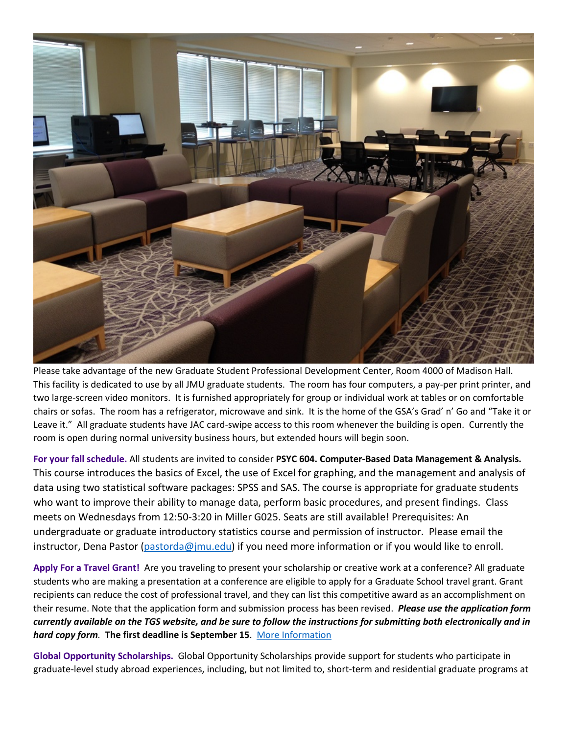

Please take advantage of the new Graduate Student Professional Development Center, Room 4000 of Madison Hall. This facility is dedicated to use by all JMU graduate students. The room has four computers, a pay-per print printer, and two large-screen video monitors. It is furnished appropriately for group or individual work at tables or on comfortable chairs or sofas. The room has a refrigerator, microwave and sink. It is the home of the GSA's Grad' n' Go and "Take it or Leave it." All graduate students have JAC card-swipe access to this room whenever the building is open. Currently the room is open during normal university business hours, but extended hours will begin soon.

**For your fall schedule.** All students are invited to consider **PSYC 604. Computer-Based Data Management & Analysis.**  This course introduces the basics of Excel, the use of Excel for graphing, and the management and analysis of data using two statistical software packages: SPSS and SAS. The course is appropriate for graduate students who want to improve their ability to manage data, perform basic procedures, and present findings. Class meets on Wednesdays from 12:50-3:20 in Miller G025. Seats are still available! Prerequisites: An undergraduate or graduate introductory statistics course and permission of instructor. Please email the instructor, Dena Pastor [\(pastorda@jmu.edu\)](mailto:pastorda@jmu.edu) if you need more information or if you would like to enroll.

**Apply For a Travel Grant!** Are you traveling to present your scholarship or creative work at a conference? All graduate students who are making a presentation at a conference are eligible to apply for a Graduate School travel grant. Grant recipients can reduce the cost of professional travel, and they can list this competitive award as an accomplishment on their resume. Note that the application form and submission process has been revised. *Please use the application form currently available on the TGS website, and be sure to follow the instructions for submitting both electronically and in hard copy form.* **The first deadline is September 15**. [More Information](http://www.jmu.edu/grad/current-students/awards/travel-grants.shtml)

**Global Opportunity Scholarships.** Global Opportunity Scholarships provide support for students who participate in graduate-level study abroad experiences, including, but not limited to, short-term and residential graduate programs at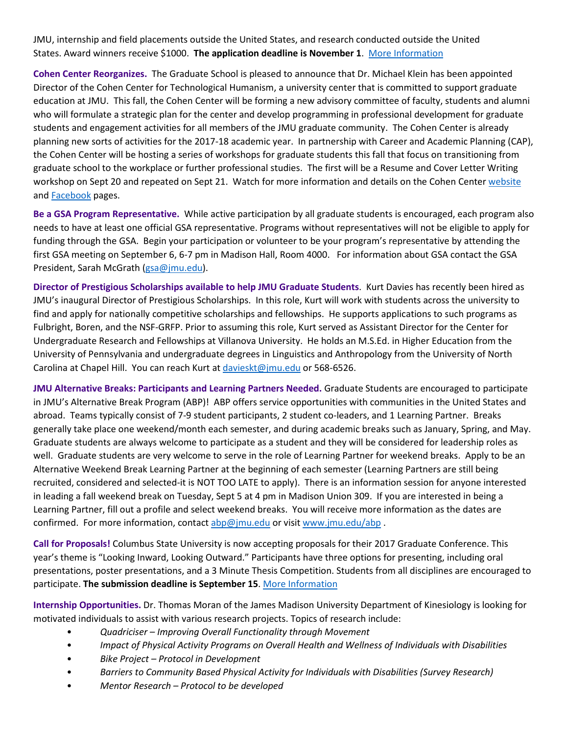JMU, internship and field placements outside the United States, and research conducted outside the United States. Award winners receive \$1000. **The application deadline is November 1**. [More Information](https://www.jmu.edu/grad/current-students/awards/global-opportunity-scholarship.shtml)

**Cohen Center Reorganizes.** The Graduate School is pleased to announce that Dr. Michael Klein has been appointed Director of the Cohen Center for Technological Humanism, a university center that is committed to support graduate education at JMU. This fall, the Cohen Center will be forming a new advisory committee of faculty, students and alumni who will formulate a strategic plan for the center and develop programming in professional development for graduate students and engagement activities for all members of the JMU graduate community. The Cohen Center is already planning new sorts of activities for the 2017-18 academic year. In partnership with Career and Academic Planning (CAP), the Cohen Center will be hosting a series of workshops for graduate students this fall that focus on transitioning from graduate school to the workplace or further professional studies. The first will be a Resume and Cover Letter Writing workshop on Sept 20 and repeated on Sept 21. Watch for more information and details on the Cohen Cente[r website](http://www.jmu.edu/cohencenter/) and [Facebook](https://www.facebook.com/JMUCohenCenter/) pages.

**Be a GSA Program Representative.** While active participation by all graduate students is encouraged, each program also needs to have at least one official GSA representative. Programs without representatives will not be eligible to apply for funding through the GSA. Begin your participation or volunteer to be your program's representative by attending the first GSA meeting on September 6, 6-7 pm in Madison Hall, Room 4000. For information about GSA contact the GSA President, Sarah McGrath [\(gsa@jmu.edu\)](mailto:gsa@jmu.edu).

**Director of Prestigious Scholarships available to help JMU Graduate Students**. Kurt Davies has recently been hired as JMU's inaugural Director of Prestigious Scholarships. In this role, Kurt will work with students across the university to find and apply for nationally competitive scholarships and fellowships. He supports applications to such programs as Fulbright, Boren, and the NSF-GRFP. Prior to assuming this role, Kurt served as Assistant Director for the Center for Undergraduate Research and Fellowships at Villanova University. He holds an M.S.Ed. in Higher Education from the University of Pennsylvania and undergraduate degrees in Linguistics and Anthropology from the University of North Carolina at Chapel Hill. You can reach Kurt at [davieskt@jmu.edu](mailto:davieskt@jmu.edu) or 568-6526.

**JMU Alternative Breaks: Participants and Learning Partners Needed.** Graduate Students are encouraged to participate in JMU's Alternative Break Program (ABP)! ABP offers service opportunities with communities in the United States and abroad. Teams typically consist of 7-9 student participants, 2 student co-leaders, and 1 Learning Partner. Breaks generally take place one weekend/month each semester, and during academic breaks such as January, Spring, and May. Graduate students are always welcome to participate as a student and they will be considered for leadership roles as well. Graduate students are very welcome to serve in the role of Learning Partner for weekend breaks. Apply to be an Alternative Weekend Break Learning Partner at the beginning of each semester (Learning Partners are still being recruited, considered and selected-it is NOT TOO LATE to apply). There is an information session for anyone interested in leading a fall weekend break on Tuesday, Sept 5 at 4 pm in Madison Union 309. If you are interested in being a Learning Partner, fill out a profile and select weekend breaks. You will receive more information as the dates are confirmed. For more information, contac[t abp@jmu.edu](mailto:abp@jmu.edu) or visi[t www.jmu.edu/abp](http://www.jmu.edu/abp).

**Call for Proposals!** Columbus State University is now accepting proposals for their 2017 Graduate Conference. This year's theme is "Looking Inward, Looking Outward." Participants have three options for presenting, including oral presentations, poster presentations, and a 3 Minute Thesis Competition. Students from all disciplines are encouraged to participate. **The submission deadline is September 15**[. More Information](https://gradschool.columbusstate.edu/gradconference/)

**Internship Opportunities.** Dr. Thomas Moran of the James Madison University Department of Kinesiology is looking for motivated individuals to assist with various research projects. Topics of research include:

- *Quadriciser – Improving Overall Functionality through Movement*
- *Impact of Physical Activity Programs on Overall Health and Wellness of Individuals with Disabilities*
- *Bike Project – Protocol in Development*
- *Barriers to Community Based Physical Activity for Individuals with Disabilities (Survey Research)*
- *Mentor Research – Protocol to be developed*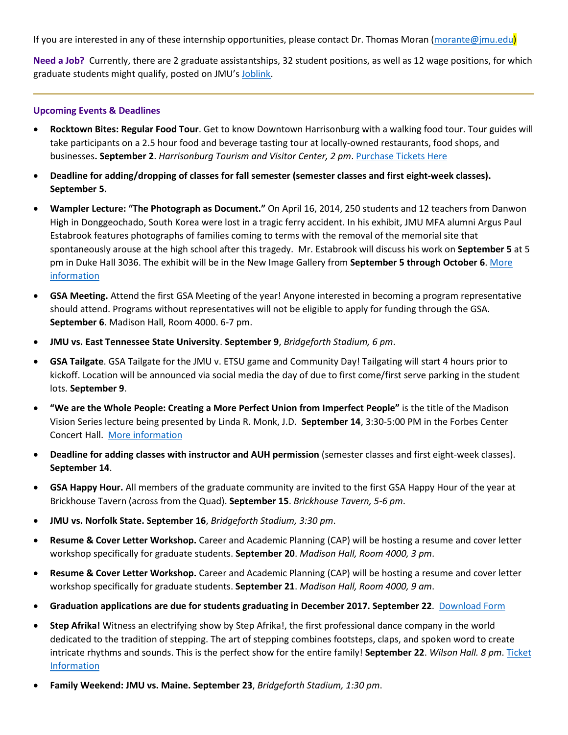If you are interested in any of these internship opportunities, please contact Dr. Thomas Moran [\(morante@jmu.edu\)](mailto:morante@jmu.edu)

**Need a Job?** Currently, there are 2 graduate assistantships, 32 student positions, as well as 12 wage positions, for which graduate students might qualify, posted on JMU's [Joblink.](https://joblink.jmu.edu/)

#### **Upcoming Events & Deadlines**

- **Rocktown Bites: Regular Food Tour**. Get to know Downtown Harrisonburg with a walking food tour. Tour guides will take participants on a 2.5 hour food and beverage tasting tour at locally-owned restaurants, food shops, and businesses**. September 2**. *Harrisonburg Tourism and Visitor Center, 2 pm*. [Purchase Tickets Here](http://www.rocktownbites.com/)
- **Deadline for adding/dropping of classes for fall semester (semester classes and first eight-week classes). September 5.**
- **Wampler Lecture: "The Photograph as Document."** On April 16, 2014, 250 students and 12 teachers from Danwon High in Donggeochado, South Korea were lost in a tragic ferry accident. In his exhibit, JMU MFA alumni Argus Paul Estabrook features photographs of families coming to terms with the removal of the memorial site that spontaneously arouse at the high school after this tragedy. Mr. Estabrook will discuss his work on **September 5** at 5 pm in Duke Hall 3036. The exhibit will be in the New Image Gallery from **September 5 through October 6**. [More](http://www.jmu.edu/events/artandarthistory/2017/09-05-estabrook-lecture.shtml)  [information](http://www.jmu.edu/events/artandarthistory/2017/09-05-estabrook-lecture.shtml)
- **GSA Meeting.** Attend the first GSA Meeting of the year! Anyone interested in becoming a program representative should attend. Programs without representatives will not be eligible to apply for funding through the GSA. **September 6**. Madison Hall, Room 4000. 6-7 pm.
- **JMU vs. East Tennessee State University**. **September 9**, *Bridgeforth Stadium, 6 pm*.
- **GSA Tailgate**. GSA Tailgate for the JMU v. ETSU game and Community Day! Tailgating will start 4 hours prior to kickoff. Location will be announced via social media the day of due to first come/first serve parking in the student lots. **September 9**.
- **"We are the Whole People: Creating a More Perfect Union from Imperfect People"** is the title of the Madison Vision Series lecture being presented by Linda R. Monk, J.D. **September 14**, 3:30-5:00 PM in the Forbes Center Concert Hall. [More information](http://www.jmu.edu/events/president/2017/09/MVS-Monk.shtml)
- **Deadline for adding classes with instructor and AUH permission** (semester classes and first eight-week classes). **September 14**.
- **GSA Happy Hour.** All members of the graduate community are invited to the first GSA Happy Hour of the year at Brickhouse Tavern (across from the Quad). **September 15**. *Brickhouse Tavern, 5-6 pm*.
- **JMU vs. Norfolk State. September 16**, *Bridgeforth Stadium, 3:30 pm*.
- **Resume & Cover Letter Workshop.** Career and Academic Planning (CAP) will be hosting a resume and cover letter workshop specifically for graduate students. **September 20**. *Madison Hall, Room 4000, 3 pm*.
- **Resume & Cover Letter Workshop.** Career and Academic Planning (CAP) will be hosting a resume and cover letter workshop specifically for graduate students. **September 21**. *Madison Hall, Room 4000, 9 am*.
- **Graduation applications are due for students graduating in December 2017. September 22**. [Download Form](http://www.jmu.edu/grad/_files/App_for_Grad_Doc_Degree_Updated_Jul9%20fillable.pdf)
- **Step Afrika!** Witness an electrifying show by Step Afrika!, the first professional dance company in the world dedicated to the tradition of stepping. The art of stepping combines footsteps, claps, and spoken word to create intricate rhythms and sounds. This is the perfect show for the entire family! **September 22**. *Wilson Hall. 8 pm*. [Ticket](http://www.jmu.edu/forbescenter/events/2017/09/22-step-afrika.shtml)  [Information](http://www.jmu.edu/forbescenter/events/2017/09/22-step-afrika.shtml)
- **Family Weekend: JMU vs. Maine. September 23**, *Bridgeforth Stadium, 1:30 pm*.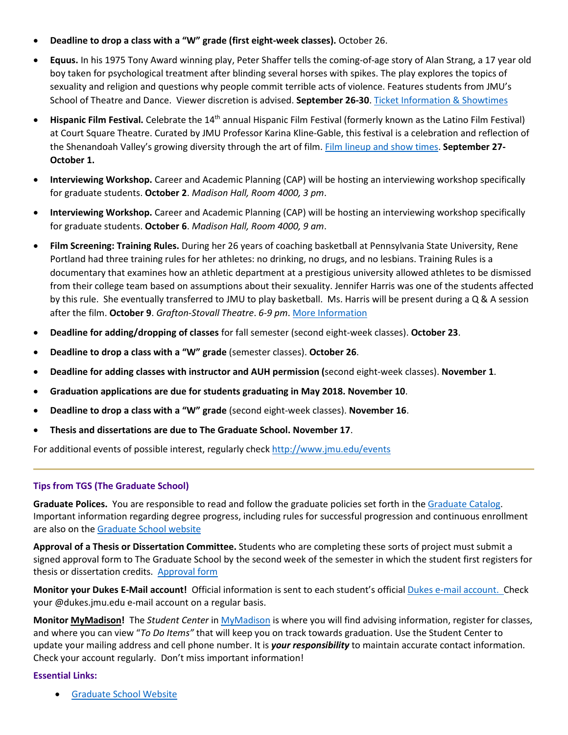- **Deadline to drop a class with a "W" grade (first eight-week classes).** October 26.
- **Equus.** In his 1975 Tony Award winning play, Peter Shaffer tells the coming-of-age story of Alan Strang, a 17 year old boy taken for psychological treatment after blinding several horses with spikes. The play explores the topics of sexuality and religion and questions why people commit terrible acts of violence. Features students from JMU's School of Theatre and Dance. Viewer discretion is advised. **September 26-30**. [Ticket Information & Showtimes](http://www.jmu.edu/forbescenter/events/2017/09/26-equus.shtml)
- **Hispanic Film Festival.** Celebrate the 14th annual Hispanic Film Festival (formerly known as the Latino Film Festival) at Court Square Theatre. Curated by JMU Professor Karina Kline-Gable, this festival is a celebration and reflection of the Shenandoah Valley's growing diversity through the art of film[. Film lineup and show](http://www.valleyarts.org/filmscalendar/2017/9/27/hispanic-film-festival) times. **September 27- October 1.**
- **Interviewing Workshop.** Career and Academic Planning (CAP) will be hosting an interviewing workshop specifically for graduate students. **October 2**. *Madison Hall, Room 4000, 3 pm*.
- **Interviewing Workshop.** Career and Academic Planning (CAP) will be hosting an interviewing workshop specifically for graduate students. **October 6**. *Madison Hall, Room 4000, 9 am*.
- **Film Screening: Training Rules.** During her 26 years of coaching basketball at Pennsylvania State University, Rene Portland had three training rules for her athletes: no drinking, no drugs, and no lesbians. Training Rules is a documentary that examines how an athletic department at a prestigious university allowed athletes to be dismissed from their college team based on assumptions about their sexuality. Jennifer Harris was one of the students affected by this rule. She eventually transferred to JMU to play basketball. Ms. Harris will be present during a Q & A session after the film. **October 9**. *Grafton-Stovall Theatre*. *6-9 pm*. [More Information](http://www.jmu.edu/events/caucusgenderequality/2017/10-09-training-rules.shtml)
- **Deadline for adding/dropping of classes** for fall semester (second eight-week classes). **October 23**.
- **Deadline to drop a class with a "W" grade** (semester classes). **October 26**.
- **Deadline for adding classes with instructor and AUH permission (**second eight-week classes). **November 1**.
- **Graduation applications are due for students graduating in May 2018. November 10**.
- **Deadline to drop a class with a "W" grade** (second eight-week classes). **November 16**.
- **Thesis and dissertations are due to The Graduate School. November 17**.

For additional events of possible interest, regularly check<http://www.jmu.edu/events>

#### **Tips from TGS (The Graduate School)**

**Graduate Polices.** You are responsible to read and follow the graduate policies set forth in th[e Graduate Catalog.](http://jmu.edu/catalog) Important information regarding degree progress, including rules for successful progression and continuous enrollment are also on the [Graduate School website](http://www.jmu.edu/grad/current-students/degree-progress/beginning.shtml)

**Approval of a Thesis or Dissertation Committee.** Students who are completing these sorts of project must submit a signed approval form to The Graduate School by the second week of the semester in which the student first registers for thesis or dissertation credits. [Approval form](http://www.jmu.edu/grad/_files/CommitteeApprovalForm2014-15.pdf)

**Monitor your Dukes E-Mail account!** Official information is sent to each student's officia[l Dukes e-mail account.](http://www.jmu.edu/computing/helpdesk/selfhelp/DukesEmail.shtml) Check your @dukes.jmu.edu e-mail account on a regular basis.

**Monitor [MyMadison!](http://mymadison.jmu.edu/)** The *Student Center* in [MyMadison](http://mymadison.jmu.edu/) is where you will find advising information, register for classes, and where you can view "*To Do Items"* that will keep you on track towards graduation. Use the Student Center to update your mailing address and cell phone number. It is *your responsibility* to maintain accurate contact information. Check your account regularly. Don't miss important information!

### **Essential Links:**

• [Graduate School Website](http://www.jmu.edu/grad)